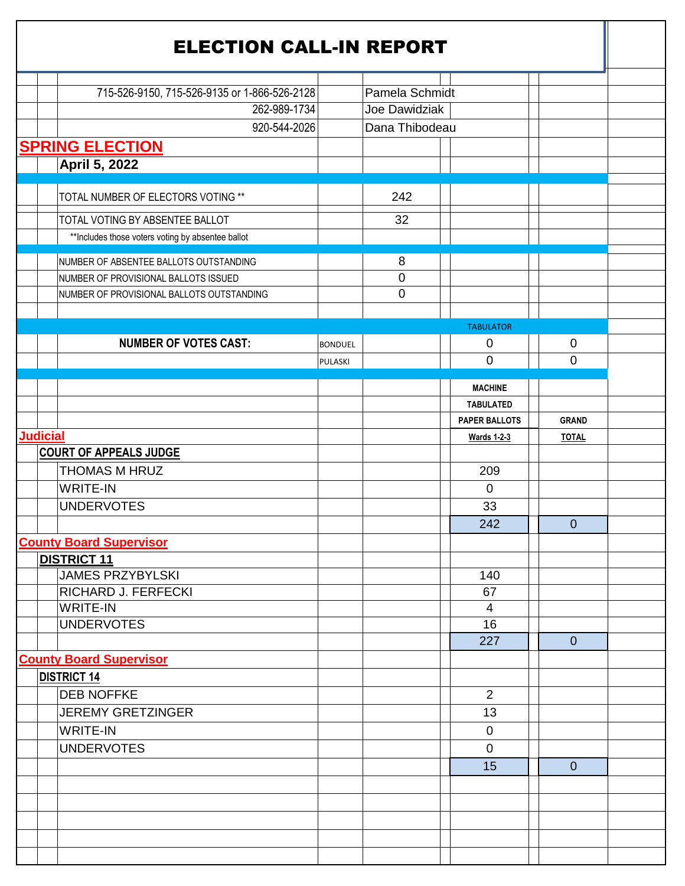|                 | <b>ELECTION CALL-IN REPORT</b>                     |                |                |                      |                  |  |
|-----------------|----------------------------------------------------|----------------|----------------|----------------------|------------------|--|
|                 |                                                    |                |                |                      |                  |  |
|                 | 715-526-9150, 715-526-9135 or 1-866-526-2128       |                | Pamela Schmidt |                      |                  |  |
|                 | 262-989-1734                                       |                | Joe Dawidziak  |                      |                  |  |
|                 | 920-544-2026                                       |                | Dana Thibodeau |                      |                  |  |
|                 | <b>SPRING ELECTION</b>                             |                |                |                      |                  |  |
|                 | April 5, 2022                                      |                |                |                      |                  |  |
|                 | TOTAL NUMBER OF ELECTORS VOTING **                 |                | 242            |                      |                  |  |
|                 | TOTAL VOTING BY ABSENTEE BALLOT                    |                | 32             |                      |                  |  |
|                 | ** Includes those voters voting by absentee ballot |                |                |                      |                  |  |
|                 |                                                    |                |                |                      |                  |  |
|                 | NUMBER OF ABSENTEE BALLOTS OUTSTANDING             |                | 8              |                      |                  |  |
|                 | NUMBER OF PROVISIONAL BALLOTS ISSUED               |                | $\mathbf 0$    |                      |                  |  |
|                 | NUMBER OF PROVISIONAL BALLOTS OUTSTANDING          |                | $\mathbf 0$    |                      |                  |  |
|                 |                                                    |                |                | <b>TABULATOR</b>     |                  |  |
|                 | <b>NUMBER OF VOTES CAST:</b>                       |                |                | $\mathbf 0$          | $\boldsymbol{0}$ |  |
|                 |                                                    | <b>BONDUEL</b> |                | $\overline{0}$       | $\overline{0}$   |  |
|                 |                                                    | PULASKI        |                |                      |                  |  |
|                 |                                                    |                |                | <b>MACHINE</b>       |                  |  |
|                 |                                                    |                |                | <b>TABULATED</b>     |                  |  |
|                 |                                                    |                |                | <b>PAPER BALLOTS</b> | <b>GRAND</b>     |  |
| <b>Judicial</b> |                                                    |                |                | <b>Wards 1-2-3</b>   | <b>TOTAL</b>     |  |
|                 | <b>COURT OF APPEALS JUDGE</b>                      |                |                |                      |                  |  |
|                 | THOMAS M HRUZ                                      |                |                | 209                  |                  |  |
|                 | <b>WRITE-IN</b>                                    |                |                | $\overline{0}$       |                  |  |
|                 | <b>UNDERVOTES</b>                                  |                |                | 33                   |                  |  |
|                 |                                                    |                |                | 242                  | $\overline{0}$   |  |
|                 | <b>County Board Supervisor</b>                     |                |                |                      |                  |  |
|                 | <b>DISTRICT 11</b>                                 |                |                |                      |                  |  |
|                 | <b>JAMES PRZYBYLSKI</b>                            |                |                | 140                  |                  |  |
|                 | <b>RICHARD J. FERFECKI</b>                         |                |                | 67                   |                  |  |
|                 | <b>WRITE-IN</b>                                    |                |                | $\overline{4}$       |                  |  |
|                 | <b>UNDERVOTES</b>                                  |                |                | 16                   |                  |  |
|                 |                                                    |                |                | 227                  | $\overline{0}$   |  |
|                 | <b>County Board Supervisor</b>                     |                |                |                      |                  |  |
|                 | <b>DISTRICT 14</b>                                 |                |                |                      |                  |  |
|                 | <b>DEB NOFFKE</b>                                  |                |                | 2                    |                  |  |
|                 | <b>JEREMY GRETZINGER</b>                           |                |                | 13                   |                  |  |
|                 | <b>WRITE-IN</b>                                    |                |                | $\overline{0}$       |                  |  |
|                 | <b>UNDERVOTES</b>                                  |                |                | $\mathbf 0$          |                  |  |
|                 |                                                    |                |                | 15                   | $\overline{0}$   |  |
|                 |                                                    |                |                |                      |                  |  |
|                 |                                                    |                |                |                      |                  |  |
|                 |                                                    |                |                |                      |                  |  |
|                 |                                                    |                |                |                      |                  |  |
|                 |                                                    |                |                |                      |                  |  |
|                 |                                                    |                |                |                      |                  |  |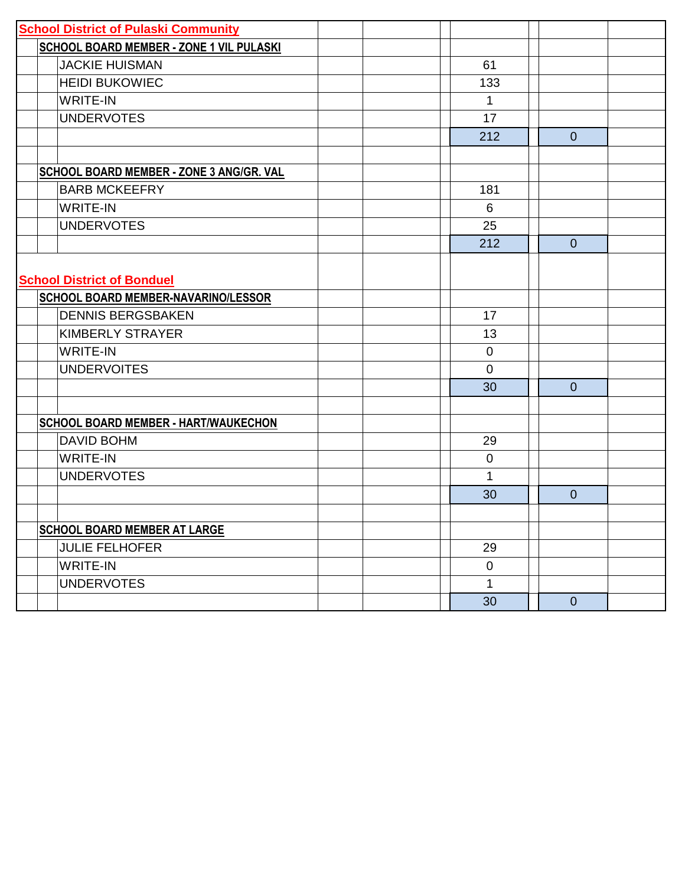| <b>School District of Pulaski Community</b> |              |                |  |
|---------------------------------------------|--------------|----------------|--|
| SCHOOL BOARD MEMBER - ZONE 1 VIL PULASKI    |              |                |  |
| <b>JACKIE HUISMAN</b>                       | 61           |                |  |
| <b>HEIDI BUKOWIEC</b>                       | 133          |                |  |
| <b>WRITE-IN</b>                             | 1            |                |  |
| <b>UNDERVOTES</b>                           | 17           |                |  |
|                                             | 212          | $\overline{0}$ |  |
|                                             |              |                |  |
| SCHOOL BOARD MEMBER - ZONE 3 ANG/GR. VAL    |              |                |  |
| <b>BARB MCKEEFRY</b>                        | 181          |                |  |
| <b>WRITE-IN</b>                             | 6            |                |  |
| <b>UNDERVOTES</b>                           | 25           |                |  |
|                                             | 212          | $\overline{0}$ |  |
|                                             |              |                |  |
| <b>School District of Bonduel</b>           |              |                |  |
| SCHOOL BOARD MEMBER-NAVARINO/LESSOR         |              |                |  |
| <b>DENNIS BERGSBAKEN</b>                    | 17           |                |  |
| <b>KIMBERLY STRAYER</b>                     | 13           |                |  |
| <b>WRITE-IN</b>                             | $\mathbf 0$  |                |  |
| <b>UNDERVOITES</b>                          | $\mathbf 0$  |                |  |
|                                             | 30           | $\overline{0}$ |  |
|                                             |              |                |  |
| SCHOOL BOARD MEMBER - HART/WAUKECHON        |              |                |  |
| <b>DAVID BOHM</b>                           | 29           |                |  |
| <b>WRITE-IN</b>                             | $\mathbf 0$  |                |  |
| <b>UNDERVOTES</b>                           | 1            |                |  |
|                                             | 30           | $\Omega$       |  |
|                                             |              |                |  |
| <b>SCHOOL BOARD MEMBER AT LARGE</b>         |              |                |  |
| <b>JULIE FELHOFER</b>                       | 29           |                |  |
| <b>WRITE-IN</b>                             | $\mathbf 0$  |                |  |
| <b>UNDERVOTES</b>                           | $\mathbf{1}$ |                |  |
|                                             | 30           | $\overline{0}$ |  |